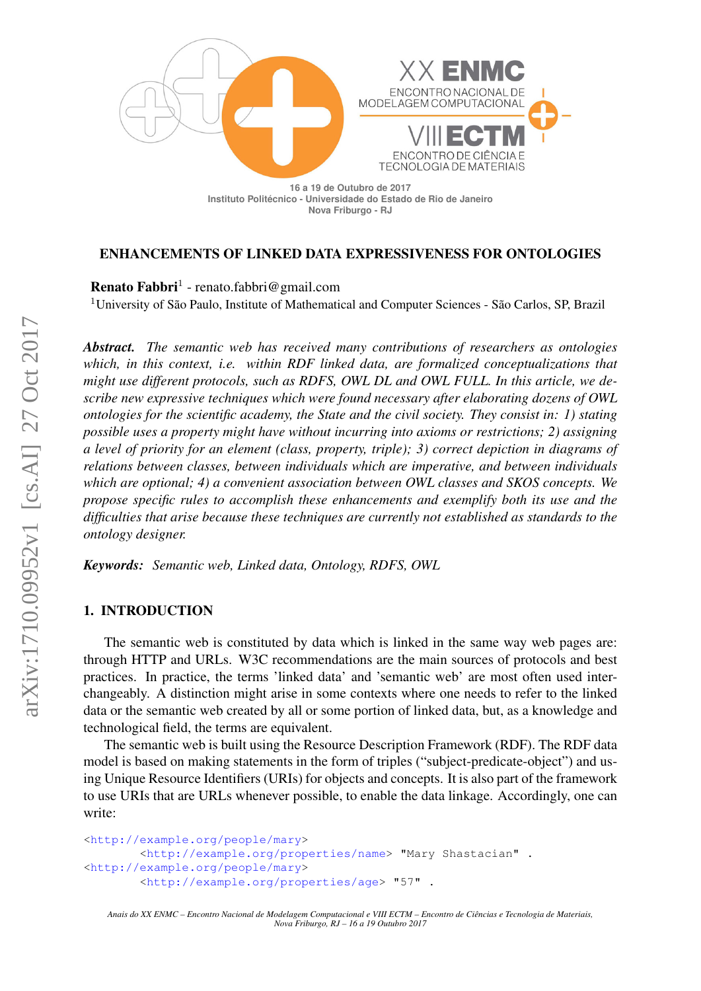

#### ENHANCEMENTS OF LINKED DATA EXPRESSIVENESS FOR ONTOLOGIES

Renato Fabbri<sup>1</sup> - renato.fabbri@gmail.com

<sup>1</sup>University of São Paulo, Institute of Mathematical and Computer Sciences - São Carlos, SP, Brazil

*Abstract. The semantic web has received many contributions of researchers as ontologies which, in this context, i.e. within RDF linked data, are formalized conceptualizations that might use different protocols, such as RDFS, OWL DL and OWL FULL. In this article, we describe new expressive techniques which were found necessary after elaborating dozens of OWL ontologies for the scientific academy, the State and the civil society. They consist in: 1) stating possible uses a property might have without incurring into axioms or restrictions; 2) assigning a level of priority for an element (class, property, triple); 3) correct depiction in diagrams of relations between classes, between individuals which are imperative, and between individuals which are optional; 4) a convenient association between OWL classes and SKOS concepts. We propose specific rules to accomplish these enhancements and exemplify both its use and the difficulties that arise because these techniques are currently not established as standards to the ontology designer.*

*Keywords: Semantic web, Linked data, Ontology, RDFS, OWL*

#### 1. INTRODUCTION

The semantic web is constituted by data which is linked in the same way web pages are: through HTTP and URLs. W3C recommendations are the main sources of protocols and best practices. In practice, the terms 'linked data' and 'semantic web' are most often used interchangeably. A distinction might arise in some contexts where one needs to refer to the linked data or the semantic web created by all or some portion of linked data, but, as a knowledge and technological field, the terms are equivalent.

The semantic web is built using the Resource Description Framework (RDF). The RDF data model is based on making statements in the form of triples ("subject-predicate-object") and using Unique Resource Identifiers (URIs) for objects and concepts. It is also part of the framework to use URIs that are URLs whenever possible, to enable the data linkage. Accordingly, one can write:

```
<http://example.org/people/mary>
        <http://example.org/properties/name> "Mary Shastacian" .
<http://example.org/people/mary>
        <http://example.org/properties/age> "57" .
```
*Anais do XX ENMC – Encontro Nacional de Modelagem Computacional e VIII ECTM – Encontro de Ciencias e Tecnologia de Materiais, ˆ Nova Friburgo, RJ – 16 a 19 Outubro 2017*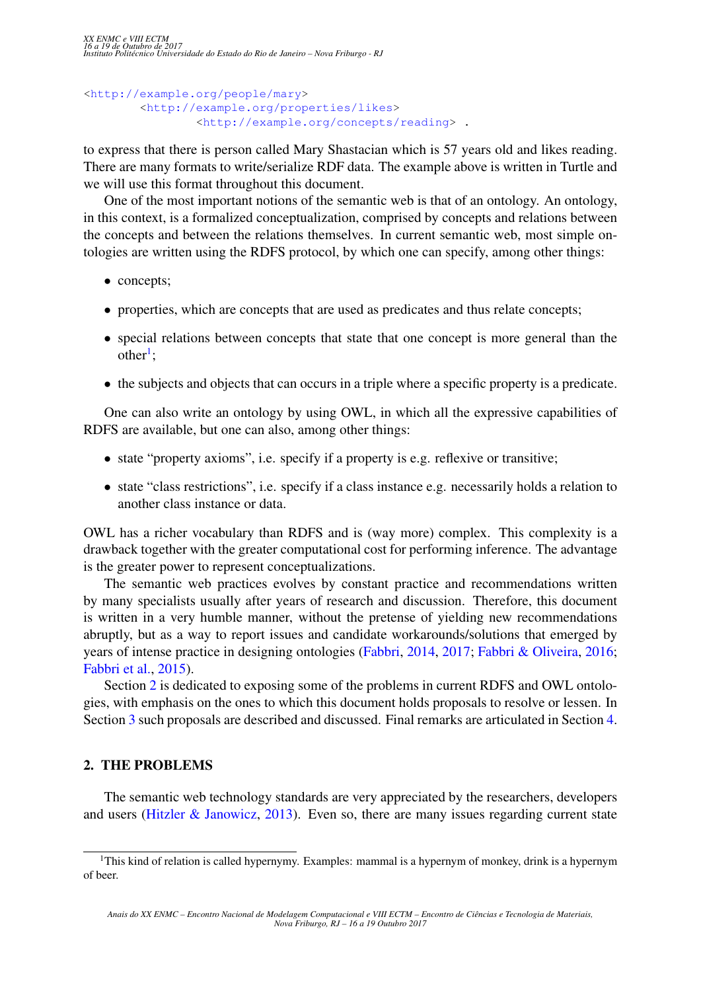```
<http://example.org/people/mary>
        <http://example.org/properties/likes>
                <http://example.org/concepts/reading> .
```
to express that there is person called Mary Shastacian which is 57 years old and likes reading. There are many formats to write/serialize RDF data. The example above is written in Turtle and we will use this format throughout this document.

One of the most important notions of the semantic web is that of an ontology. An ontology, in this context, is a formalized conceptualization, comprised by concepts and relations between the concepts and between the relations themselves. In current semantic web, most simple ontologies are written using the RDFS protocol, by which one can specify, among other things:

- concepts;
- properties, which are concepts that are used as predicates and thus relate concepts;
- special relations between concepts that state that one concept is more general than the  $other<sup>1</sup>;$  $other<sup>1</sup>;$  $other<sup>1</sup>;$
- the subjects and objects that can occurs in a triple where a specific property is a predicate.

One can also write an ontology by using OWL, in which all the expressive capabilities of RDFS are available, but one can also, among other things:

- state "property axioms", i.e. specify if a property is e.g. reflexive or transitive;
- state "class restrictions", i.e. specify if a class instance e.g. necessarily holds a relation to another class instance or data.

OWL has a richer vocabulary than RDFS and is (way more) complex. This complexity is a drawback together with the greater computational cost for performing inference. The advantage is the greater power to represent conceptualizations.

The semantic web practices evolves by constant practice and recommendations written by many specialists usually after years of research and discussion. Therefore, this document is written in a very humble manner, without the pretense of yielding new recommendations abruptly, but as a way to report issues and candidate workarounds/solutions that emerged by years of intense practice in designing ontologies [\(Fabbri,](#page-5-0) [2014,](#page-5-0) [2017;](#page-5-1) [Fabbri & Oliveira,](#page-5-2) [2016;](#page-5-2) [Fabbri et al.,](#page-5-3) [2015\)](#page-5-3).

Section [2](#page-1-1) is dedicated to exposing some of the problems in current RDFS and OWL ontologies, with emphasis on the ones to which this document holds proposals to resolve or lessen. In Section [3](#page-3-0) such proposals are described and discussed. Final remarks are articulated in Section [4.](#page-4-0)

#### <span id="page-1-1"></span>2. THE PROBLEMS

The semantic web technology standards are very appreciated by the researchers, developers and users [\(Hitzler & Janowicz,](#page-5-4) [2013\)](#page-5-4). Even so, there are many issues regarding current state

<span id="page-1-0"></span><sup>&</sup>lt;sup>1</sup>This kind of relation is called hypernymy. Examples: mammal is a hypernym of monkey, drink is a hypernym of beer.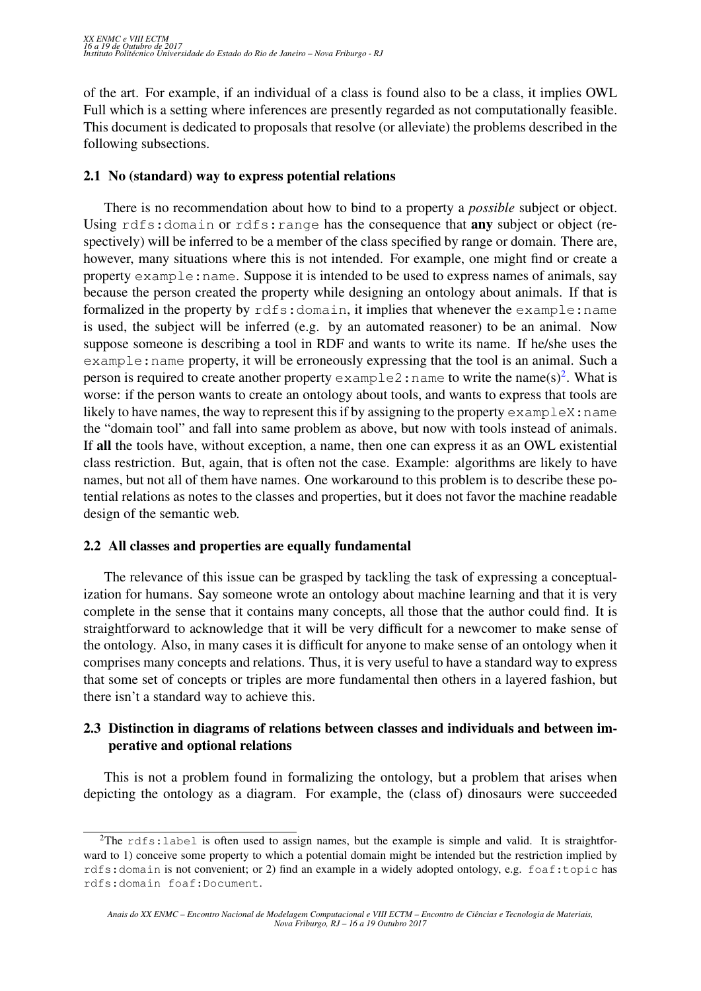of the art. For example, if an individual of a class is found also to be a class, it implies OWL Full which is a setting where inferences are presently regarded as not computationally feasible. This document is dedicated to proposals that resolve (or alleviate) the problems described in the following subsections.

### <span id="page-2-1"></span>2.1 No (standard) way to express potential relations

There is no recommendation about how to bind to a property a *possible* subject or object. Using rdfs: domain or rdfs: range has the consequence that any subject or object (respectively) will be inferred to be a member of the class specified by range or domain. There are, however, many situations where this is not intended. For example, one might find or create a property example:name. Suppose it is intended to be used to express names of animals, say because the person created the property while designing an ontology about animals. If that is formalized in the property by rdfs: domain, it implies that whenever the example: name is used, the subject will be inferred (e.g. by an automated reasoner) to be an animal. Now suppose someone is describing a tool in RDF and wants to write its name. If he/she uses the example:name property, it will be erroneously expressing that the tool is an animal. Such a person is required to create another property  $\infty$  ample[2](#page-2-0): name to write the name(s)<sup>2</sup>. What is worse: if the person wants to create an ontology about tools, and wants to express that tools are likely to have names, the way to represent this if by assigning to the property  $\infty$  ampleX: name the "domain tool" and fall into same problem as above, but now with tools instead of animals. If all the tools have, without exception, a name, then one can express it as an OWL existential class restriction. But, again, that is often not the case. Example: algorithms are likely to have names, but not all of them have names. One workaround to this problem is to describe these potential relations as notes to the classes and properties, but it does not favor the machine readable design of the semantic web.

## <span id="page-2-2"></span>2.2 All classes and properties are equally fundamental

The relevance of this issue can be grasped by tackling the task of expressing a conceptualization for humans. Say someone wrote an ontology about machine learning and that it is very complete in the sense that it contains many concepts, all those that the author could find. It is straightforward to acknowledge that it will be very difficult for a newcomer to make sense of the ontology. Also, in many cases it is difficult for anyone to make sense of an ontology when it comprises many concepts and relations. Thus, it is very useful to have a standard way to express that some set of concepts or triples are more fundamental then others in a layered fashion, but there isn't a standard way to achieve this.

## <span id="page-2-3"></span>2.3 Distinction in diagrams of relations between classes and individuals and between imperative and optional relations

This is not a problem found in formalizing the ontology, but a problem that arises when depicting the ontology as a diagram. For example, the (class of) dinosaurs were succeeded

<span id="page-2-0"></span><sup>&</sup>lt;sup>2</sup>The rdfs: label is often used to assign names, but the example is simple and valid. It is straightforward to 1) conceive some property to which a potential domain might be intended but the restriction implied by rdfs:domain is not convenient; or 2) find an example in a widely adopted ontology, e.g. foaf:topic has rdfs:domain foaf:Document.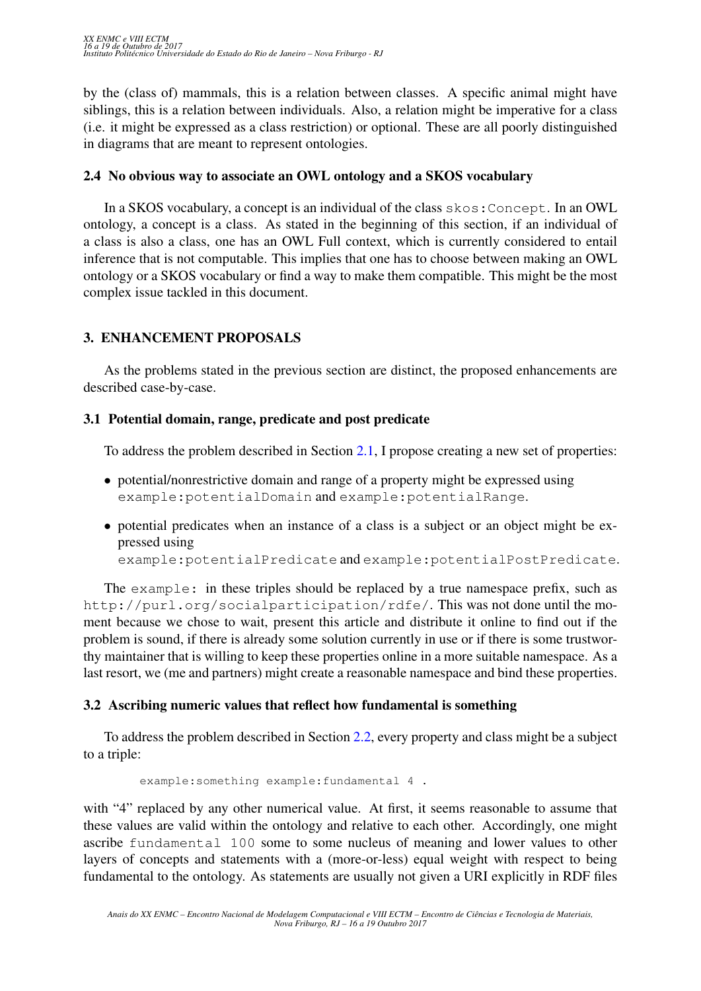by the (class of) mammals, this is a relation between classes. A specific animal might have siblings, this is a relation between individuals. Also, a relation might be imperative for a class (i.e. it might be expressed as a class restriction) or optional. These are all poorly distinguished in diagrams that are meant to represent ontologies.

### 2.4 No obvious way to associate an OWL ontology and a SKOS vocabulary

In a SKOS vocabulary, a concept is an individual of the class skos:Concept. In an OWL ontology, a concept is a class. As stated in the beginning of this section, if an individual of a class is also a class, one has an OWL Full context, which is currently considered to entail inference that is not computable. This implies that one has to choose between making an OWL ontology or a SKOS vocabulary or find a way to make them compatible. This might be the most complex issue tackled in this document.

## <span id="page-3-0"></span>3. ENHANCEMENT PROPOSALS

As the problems stated in the previous section are distinct, the proposed enhancements are described case-by-case.

## 3.1 Potential domain, range, predicate and post predicate

To address the problem described in Section [2.1,](#page-2-1) I propose creating a new set of properties:

- potential/nonrestrictive domain and range of a property might be expressed using example:potentialDomain and example:potentialRange.
- potential predicates when an instance of a class is a subject or an object might be expressed using

example:potentialPredicate and example:potentialPostPredicate.

The example: in these triples should be replaced by a true namespace prefix, such as http://purl.org/socialparticipation/rdfe/. This was not done until the moment because we chose to wait, present this article and distribute it online to find out if the problem is sound, if there is already some solution currently in use or if there is some trustworthy maintainer that is willing to keep these properties online in a more suitable namespace. As a last resort, we (me and partners) might create a reasonable namespace and bind these properties.

## <span id="page-3-1"></span>3.2 Ascribing numeric values that reflect how fundamental is something

To address the problem described in Section [2.2,](#page-2-2) every property and class might be a subject to a triple:

```
example:something example:fundamental 4 .
```
with "4" replaced by any other numerical value. At first, it seems reasonable to assume that these values are valid within the ontology and relative to each other. Accordingly, one might ascribe fundamental 100 some to some nucleus of meaning and lower values to other layers of concepts and statements with a (more-or-less) equal weight with respect to being fundamental to the ontology. As statements are usually not given a URI explicitly in RDF files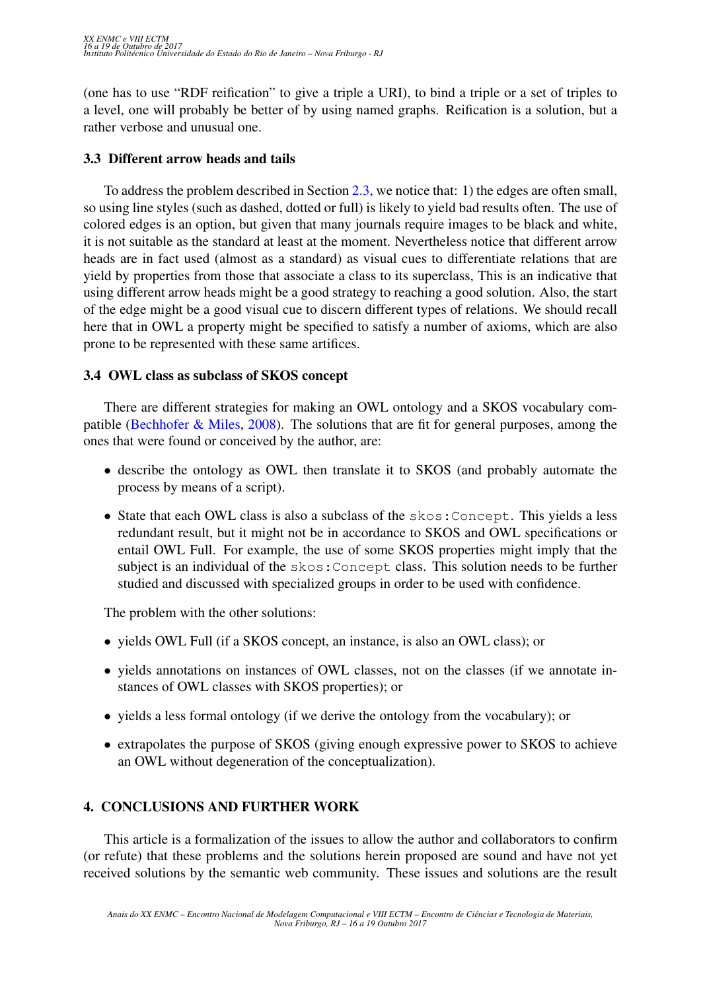(one has to use "RDF reification" to give a triple a URI), to bind a triple or a set of triples to a level, one will probably be better of by using named graphs. Reification is a solution, but a rather verbose and unusual one.

## 3.3 Different arrow heads and tails

To address the problem described in Section [2.3,](#page-2-3) we notice that: 1) the edges are often small, so using line styles (such as dashed, dotted or full) is likely to yield bad results often. The use of colored edges is an option, but given that many journals require images to be black and white, it is not suitable as the standard at least at the moment. Nevertheless notice that different arrow heads are in fact used (almost as a standard) as visual cues to differentiate relations that are yield by properties from those that associate a class to its superclass, This is an indicative that using different arrow heads might be a good strategy to reaching a good solution. Also, the start of the edge might be a good visual cue to discern different types of relations. We should recall here that in OWL a property might be specified to satisfy a number of axioms, which are also prone to be represented with these same artifices.

## <span id="page-4-1"></span>3.4 OWL class as subclass of SKOS concept

There are different strategies for making an OWL ontology and a SKOS vocabulary compatible [\(Bechhofer & Miles,](#page-5-5) [2008\)](#page-5-5). The solutions that are fit for general purposes, among the ones that were found or conceived by the author, are:

- describe the ontology as OWL then translate it to SKOS (and probably automate the process by means of a script).
- State that each OWL class is also a subclass of the skos:Concept. This yields a less redundant result, but it might not be in accordance to SKOS and OWL specifications or entail OWL Full. For example, the use of some SKOS properties might imply that the subject is an individual of the skos:Concept class. This solution needs to be further studied and discussed with specialized groups in order to be used with confidence.

The problem with the other solutions:

- yields OWL Full (if a SKOS concept, an instance, is also an OWL class); or
- yields annotations on instances of OWL classes, not on the classes (if we annotate instances of OWL classes with SKOS properties); or
- yields a less formal ontology (if we derive the ontology from the vocabulary); or
- extrapolates the purpose of SKOS (giving enough expressive power to SKOS to achieve an OWL without degeneration of the conceptualization).

# <span id="page-4-0"></span>4. CONCLUSIONS AND FURTHER WORK

This article is a formalization of the issues to allow the author and collaborators to confirm (or refute) that these problems and the solutions herein proposed are sound and have not yet received solutions by the semantic web community. These issues and solutions are the result